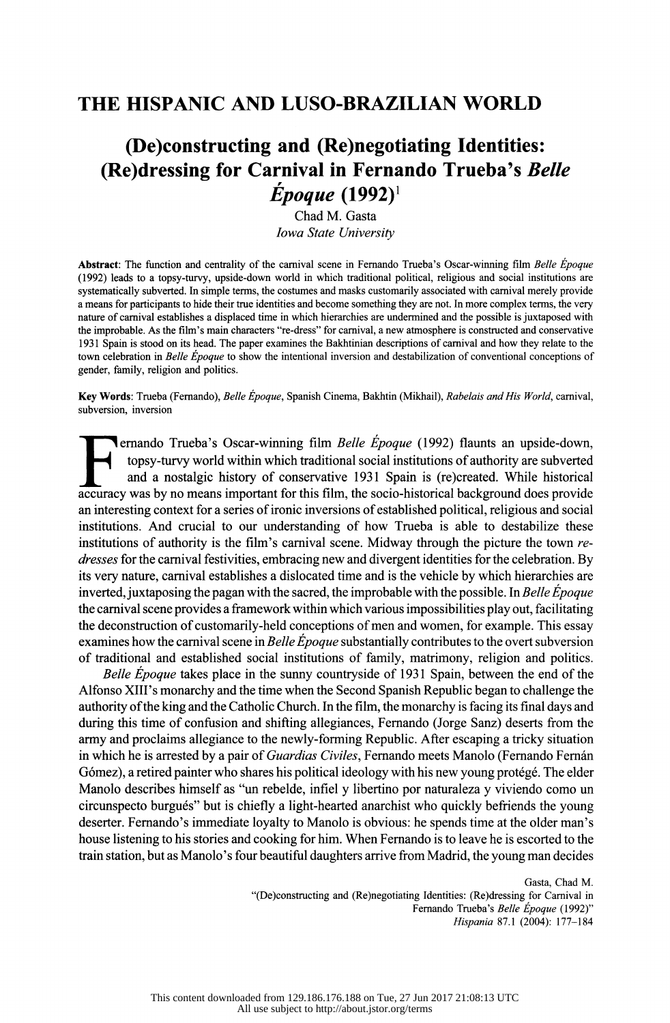# **THE HISPANIC AND LUSO-BRAZILIAN WORLD**

# **(De)constructing and (Re)negotiating Identities: (Re)dressing for Carnival in Fernando Trueba's** *Belle Epoque* **(1992) <sup>1</sup>**

Chad M. Gasta *Iowa State University* 

Abstract: The function and centrality of the carnival scene in Fernando Trueba's Oscar-winning film *Belle Epoque*  (1992) leads to a topsy-turvy, upside-down world in which traditional political, religious and social institutions are systematically subverted. In simple terms, the costumes and masks customarily associated with carnival merely provide a means for participants to hide their true identities and become something they are not. In more complex terms, the very nature of carnival establishes a displaced time in which hierarchies are undermined and the possible is juxtaposed with the improbable. As the film's main characters "re-dress" for carnival, a new atmosphere is constructed and conservative 1931 Spain is stood on its head. The paper examines the Bakhtinian descriptions of carnival and how they relate to the town celebration in *Belle Epoque* to show the intentional inversion and destabilization of conventional conceptions of gender, family, religion and politics.

Key Words: Trueba (Fernando), *Belle Epoque,* Spanish Cinema, Bakhtin (Mikhail), *Rabelais and His World,* carnival, subversion, inversion

Fernando Trueba's Oscar-winning film *Belle Époque* (1992) flaunts an upside-down, topsy-turvy world within which traditional social institutions of authority are subverted and a nostalgic history of conservative 1931 Spai topsy-turvy world within which traditional social institutions of authority are subverted accuracy was by no means important for this film, the socio-historical background does provide an interesting context for a series of ironic inversions of established political, religious and social institutions. And crucial to our understanding of how Trueba is able to destabilize these institutions of authority is the film's carnival scene. Midway through the picture the town *redresses* for the carnival festivities, embracing new and divergent identities for the celebration. By its very nature, carnival establishes a dislocated time and is the vehicle by which hierarchies are inverted, juxtaposing the pagan with the sacred, the improbable with the possible. In *Belle Epoque*  the carnival scene provides a framework within which various impossibilities play out, facilitating the deconstruction of customarily-held conceptions of men and women, for example. This essay examines how the carnival scene in *Belle Epoque* substantially contributes to the overt subversion of traditional and established social institutions of family, matrimony, religion and politics.

*Belle Epoque* takes place in the sunny countryside of 1931 Spain, between the end of the Alfonso XIII's monarchy and the time when the Second Spanish Republic began to challenge the authority of the king and the Catholic Church. In the film, the monarchy is facing its final days and during this time of confusion and shifting allegiances, Fernando (Jorge Sanz) deserts from the army and proclaims allegiance to the newly-forming Republic. After escaping a tricky situation in which he is arrested by a pair of *Guardias Civiles,* Fernando meets Manolo (Fernando Fernan Gómez), a retired painter who shares his political ideology with his new young protégé. The elder Manolo describes himself as "un rebelde, infiel y libertino por naturaleza y viviendo como un circunspecto burgues" but is chiefly a light-hearted anarchist who quickly befriends the young deserter. Fernando's immediate loyalty to Manolo is obvious: he spends time at the older man's house listening to his stories and cooking for him. When Fernando is to leave he is escorted to the train station, but as Manolo's four beautiful daughters arrive from Madrid, the young man decides

> Gasta, Chad M. "(De)constructing and (Re)negotiating Identities: (Re)dressing for Carnival in Fernando Trueba's *Belle Epoque* (1992)" *Hispania* 87.1 (2004): 177-184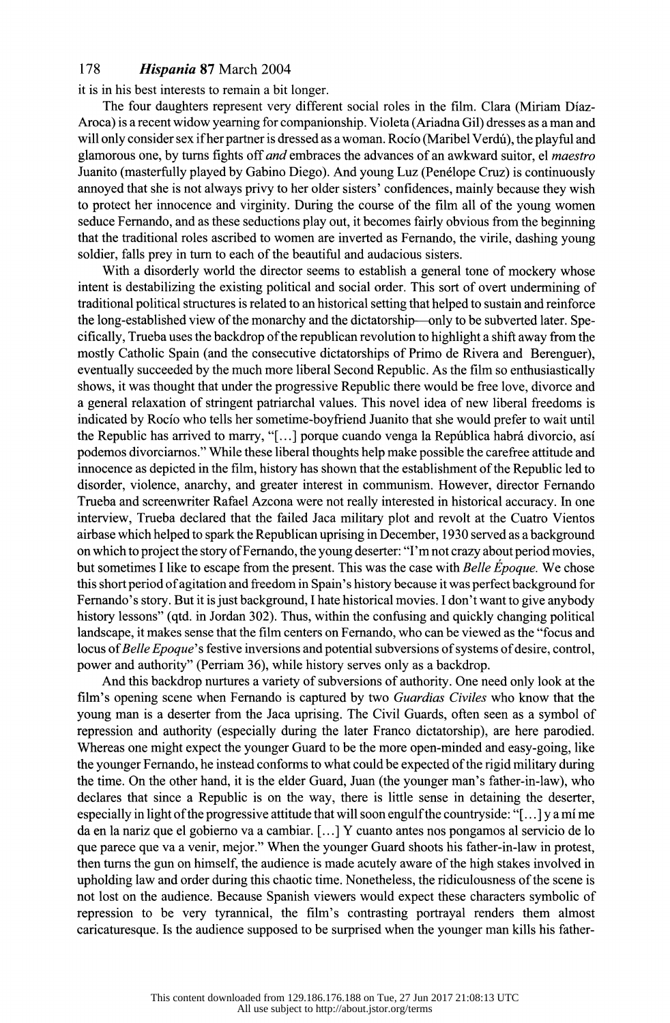it is in his best interests to remain a bit longer.

The four daughters represent very different social roles in the film. Clara (Miriam Diaz-Aroca) is a recent widow yearning for companionship. Violeta (Ariadna Gil) dresses as a man and will only consider sex if her partner is dressed as a woman. Rocio (Maribel Verdú), the playful and glamorous one, by turns fights off *and* embraces the advances of an awkward suitor, el *maestro*  Juanito (masterfully played by Gabino Diego). And young Luz (Penelope Cruz) is continuously annoyed that she is not always privy to her older sisters' confidences, mainly because they wish to protect her innocence and virginity. During the course of the film all of the young women seduce Fernando, and as these seductions play out, it becomes fairly obvious from the beginning that the traditional roles ascribed to women are inverted as Fernando, the virile, dashing young soldier, falls prey in tum to each of the beautiful and audacious sisters.

With a disorderly world the director seems to establish a general tone of mockery whose intent is destabilizing the existing political and social order. This sort of overt undermining of traditional political structures is related to an historical setting that helped to sustain and reinforce the long-established view of the monarchy and the dictatorship-only to be subverted later. Specifically, Trueba uses the backdrop of the republican revolution to highlight a shift away from the mostly Catholic Spain (and the consecutive dictatorships of Primo de Rivera and Berenguer), eventually succeeded by the much more liberal Second Republic. As the film so enthusiastically shows, it was thought that under the progressive Republic there would be free love, divorce and a general relaxation of stringent patriarchal values. This novel idea of new liberal freedoms is indicated by Rocio who tells her sometime-boyfriend Juanito that she would prefer to wait until the Republic has arrived to marry, "[...] porque cuando venga la República habrá divorcio, así podemos divorciamos." While these liberal thoughts help make possible the carefree attitude and innocence as depicted in the film, history has shown that the establishment of the Republic led to disorder, violence, anarchy, and greater interest in communism. However, director Fernando Trueba and screenwriter Rafael Azcona were not really interested in historical accuracy. In one interview, Trueba declared that the failed Jaca military plot and revolt at the Cuatro Vientos airbase which helped to spark the Republican uprising in December, 1930 served as a background on which to project the story ofFemando, the young deserter: "I'm not crazy about period movies, but sometimes I like to escape from the present. This was the case with *Belle Epoque.* We chose this short period of agitation and freedom in Spain's history because it was perfect background for Fernando's story. But it is just background, I hate historical movies. I don't want to give anybody history lessons" (qtd. in Jordan 302). Thus, within the confusing and quickly changing political landscape, it makes sense that the film centers on Fernando, who can be viewed as the "focus and locus of *Belle Epoque'* s festive inversions and potential subversions of systems of desire, control, power and authority" (Perriam 36), while history serves only as a backdrop.

And this backdrop nurtures a variety of subversions of authority. One need only look at the film's opening scene when Fernando is captured by two *Guardias Civiles* who know that the young man is a deserter from the Jaca uprising. The Civil Guards, often seen as a symbol of repression and authority (especially during the later Franco dictatorship), are here parodied. Whereas one might expect the younger Guard to be the more open-minded and easy-going, like the younger Fernando, he instead conforms to what could be expected of the rigid military during the time. On the other hand, it is the elder Guard, Juan (the younger man's father-in-law), who declares that since a Republic is on the way, there is little sense in detaining the deserter, especially in light of the progressive attitude that will soon engulf the countryside:"[ ... ] ya mi me da en la nariz que el gobierno va a cambiar. [ ... ] Y cuanto antes nos pongamos al servicio de lo que parece que va a venir, mejor." When the younger Guard shoots his father-in-law in protest, then turns the gun on himself, the audience is made acutely aware of the high stakes involved in upholding law and order during this chaotic time. Nonetheless, the ridiculousness of the scene is not lost on the audience. Because Spanish viewers would expect these characters symbolic of repression to be very tyrannical, the film's contrasting portrayal renders them almost caricaturesque. Is the audience supposed to be surprised when the younger man kills his father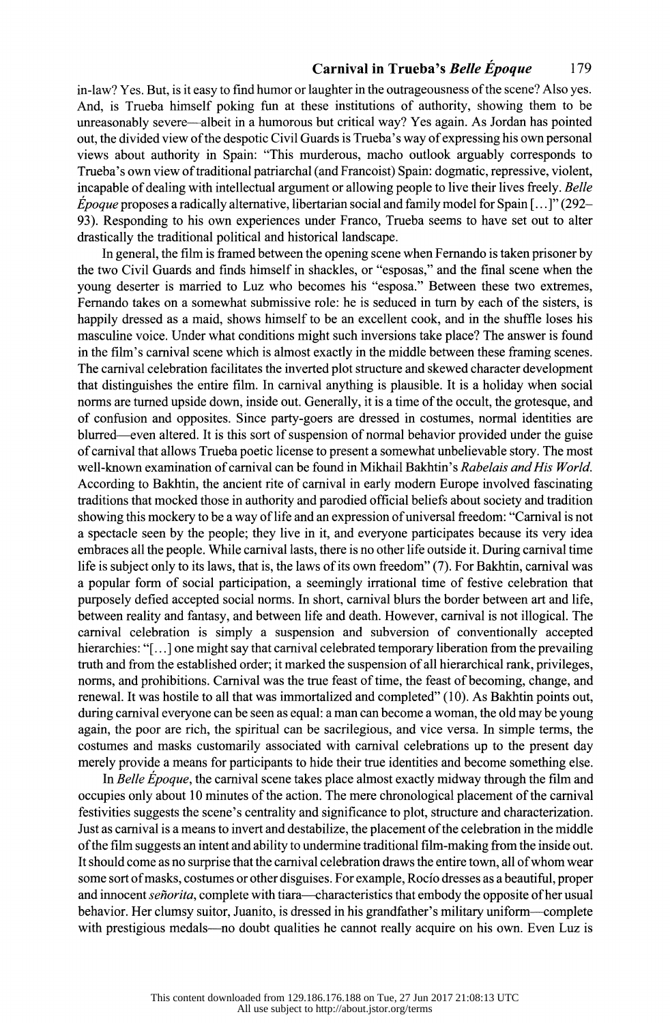in-law? Yes. But, is it easy to find humor or laughter in the outrageousness of the scene? Also yes. And, is Trueba himself poking fun at these institutions of authority, showing them to be unreasonably severe-albeit in a humorous but critical way? Yes again. As Jordan has pointed out, the divided view of the despotic Civil Guards is Trueba's way of expressing his own personal views about authority in Spain: "This murderous, macho outlook arguably corresponds to Trueba's own view of traditional patriarchal (and Francoist) Spain: dogmatic, repressive, violent, incapable of dealing with intellectual argument or allowing people to live their lives freely. *Belle Epoque* proposes a radically alternative, libertarian social and family model for Spain [ ... ]" (292- 93). Responding to his own experiences under Franco, Trueba seems to have set out to alter drastically the traditional political and historical landscape.

In general, the film is framed between the opening scene when Fernando is taken prisoner by the two Civil Guards and finds himself in shackles, or "esposas," and the final scene when the young deserter is married to Luz who becomes his "esposa." Between these two extremes, Fernando takes on a somewhat submissive role: he is seduced in tum by each of the sisters, is happily dressed as a maid, shows himself to be an excellent cook, and in the shuffle loses his masculine voice. Under what conditions might such inversions take place? The answer is found in the film's carnival scene which is almost exactly in the middle between these framing scenes. The carnival celebration facilitates the inverted plot structure and skewed character development that distinguishes the entire film. In carnival anything is plausible. It is a holiday when social norms are turned upside down, inside out. Generally, it is a time of the occult, the grotesque, and of confusion and opposites. Since party-goers are dressed in costumes, normal identities are blurred-even altered. It is this sort of suspension of normal behavior provided under the guise of carnival that allows Trueba poetic license to present a somewhat unbelievable story. The most well-known examination of carnival can be found in Mikhail Bakhtin's *Rabelais and His World.*  According to Bakhtin, the ancient rite of carnival in early modem Europe involved fascinating traditions that mocked those in authority and parodied official beliefs about society and tradition showing this mockery to be a way of life and an expression of universal freedom: "Carnival is not a spectacle seen by the people; they live in it, and everyone participates because its very idea embraces all the people. While carnival lasts, there is no other life outside it. During carnival time life is subject only to its laws, that is, the laws of its own freedom" (7). For Bakhtin, carnival was a popular form of social participation, a seemingly irrational time of festive celebration that purposely defied accepted social norms. In short, carnival blurs the border between art and life, between reality and fantasy, and between life and death. However, carnival is not illogical. The carnival celebration is simply a suspension and subversion of conventionally accepted hierarchies: "[...] one might say that carnival celebrated temporary liberation from the prevailing truth and from the established order; it marked the suspension of all hierarchical rank, privileges, norms, and prohibitions. Carnival was the true feast of time, the feast of becoming, change, and renewal. It was hostile to all that was immortalized and completed" (10). As Bakhtin points out, during carnival everyone can be seen as equal: a man can become a woman, the old may be young again, the poor are rich, the spiritual can be sacrilegious, and vice versa. In simple terms, the costumes and masks customarily associated with carnival celebrations up to the present day merely provide a means for participants to hide their true identities and become something else.

In *Belle Epoque,* the carnival scene takes place almost exactly midway through the film and occupies only about 10 minutes of the action. The mere chronological placement of the carnival festivities suggests the scene's centrality and significance to plot, structure and characterization. Just as carnival is a means to invert and destabilize, the placement of the celebration in the middle of the film suggests an intent and ability to undermine traditional film-making from the inside out. It should come as no surprise that the carnival celebration draws the entire town, all of whom wear some sort of masks, costumes or other disguises. For example, Rocio dresses as a beautiful, proper and innocent *señorita*, complete with tiara—characteristics that embody the opposite of her usual behavior. Her clumsy suitor, Juanito, is dressed in his grandfather's military uniform-complete with prestigious medals—no doubt qualities he cannot really acquire on his own. Even Luz is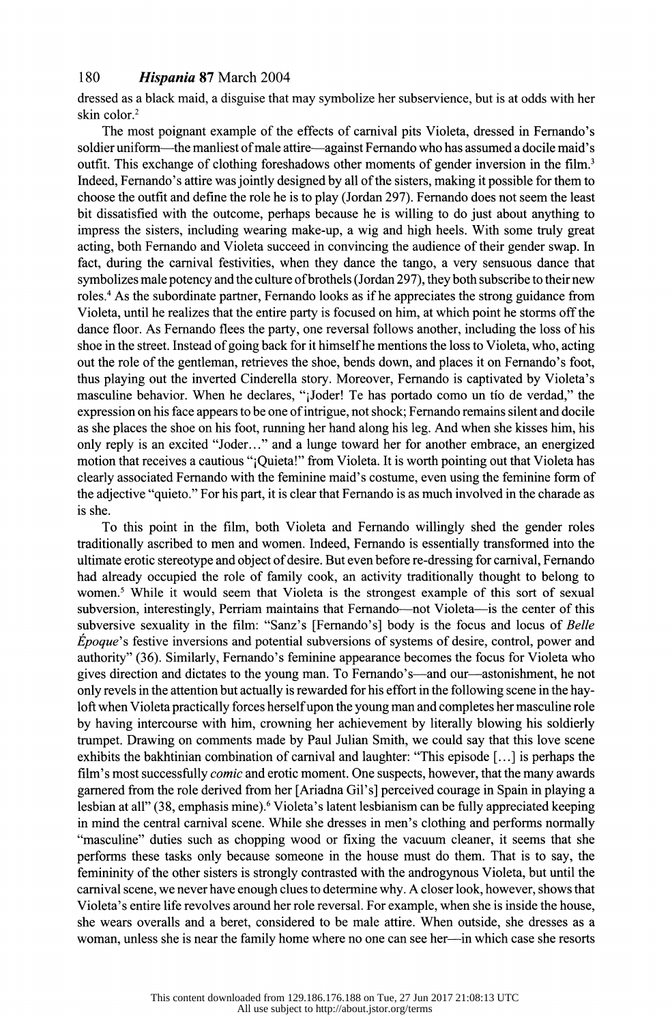dressed as a black maid, a disguise that may symbolize her subservience, but is at odds with her skin color.<sup>2</sup>

The most poignant example of the effects of carnival pits Violeta, dressed in Fernando's soldier uniform—the manliest of male attire—against Fernando who has assumed a docile maid's outfit. This exchange of clothing foreshadows other moments of gender inversion in the film.<sup>3</sup> Indeed, Fernando's attire was jointly designed by all of the sisters, making it possible forthem to choose the outfit and define the role he is to play (Jordan 297). Fernando does not seem the least bit dissatisfied with the outcome, perhaps because he is willing to do just about anything to impress the sisters, including wearing make-up, a wig and high heels. With some truly great acting, both Fernando and Violeta succeed in convincing the audience of their gender swap. In fact, during the carnival festivities, when they dance the tango, a very sensuous dance that symbolizes male potency and the culture of brothels (Jordan 297), they both subscribe to their new roles. 4 As the subordinate partner, Fernando looks as ifhe appreciates the strong guidance from Violeta, until he realizes that the entire party is focused on him, at which point he storms off the dance floor. As Fernando flees the party, one reversal follows another, including the loss of his shoe in the street. Instead of going back for it himself he mentions the loss to Violeta, who, acting out the role of the gentleman, retrieves the shoe, bends down, and places it on Fernando's foot, thus playing out the inverted Cinderella story. Moreover, Fernando is captivated by Violeta's masculine behavior. When he declares, "iJoder! Te has portado como un tio de verdad," the expression on his face appears to be one of intrigue, not shock; Fernando remains silent and docile as she places the shoe on his foot, running her hand along his leg. And when she kisses him, his only reply is an excited "Joder..." and a lunge toward her for another embrace, an energized motion that receives a cautious "jQuieta!" from Violeta. It is worth pointing out that Violeta has clearly associated Fernando with the feminine maid's costume, even using the feminine form of the adjective "quieto." For his part, it is clear that Fernando is as much involved in the charade as is she.

To this point in the film, both Violeta and Fernando willingly shed the gender roles traditionally ascribed to men and women. Indeed, Fernando is essentially transformed into the ultimate erotic stereotype and object of desire. But even before re-dressing for carnival, Fernando had already occupied the role of family cook, an activity traditionally thought to belong to women.<sup>5</sup> While it would seem that Violeta is the strongest example of this sort of sexual subversion, interestingly, Perriam maintains that Fernando—not Violeta—is the center of this subversive sexuality in the film: "Sanz's [Fernando's] body is the focus and locus of *Belle Epoque's* festive inversions and potential subversions of systems of desire, control, power and authority" (36). Similarly, Fernando's feminine appearance becomes the focus for Violeta who gives direction and dictates to the young man. To Fernando's-and our-astonishment, he not only revels in the attention but actually is rewarded for his effort in the following scene in the hayloft when Violeta practically forces herselfupon the young man and completes her masculine role by having intercourse with him, crowning her achievement by literally blowing his soldierly trumpet. Drawing on comments made by Paul Julian Smith, we could say that this love scene exhibits the bakhtinian combination of carnival and laughter: "This episode [ ... ] is perhaps the film's most successfully *comic* and erotic moment. One suspects, however, that the many awards garnered from the role derived from her [Ariadna Gil's] perceived courage in Spain in playing a lesbian at all" (38, emphasis mine).<sup>6</sup> Violeta's latent lesbianism can be fully appreciated keeping in mind the central carnival scene. While she dresses in men's clothing and performs normally "masculine" duties such as chopping wood or fixing the vacuum cleaner, it seems that she performs these tasks only because someone in the house must do them. That is to say, the femininity of the other sisters is strongly contrasted with the androgynous Violeta, but until the carnival scene, we never have enough clues to determine why. A closer look, however, shows that Violeta's entire life revolves around her role reversal. For example, when she is inside the house, she wears overalls and a beret, considered to be male attire. When outside, she dresses as a woman, unless she is near the family home where no one can see her-in which case she resorts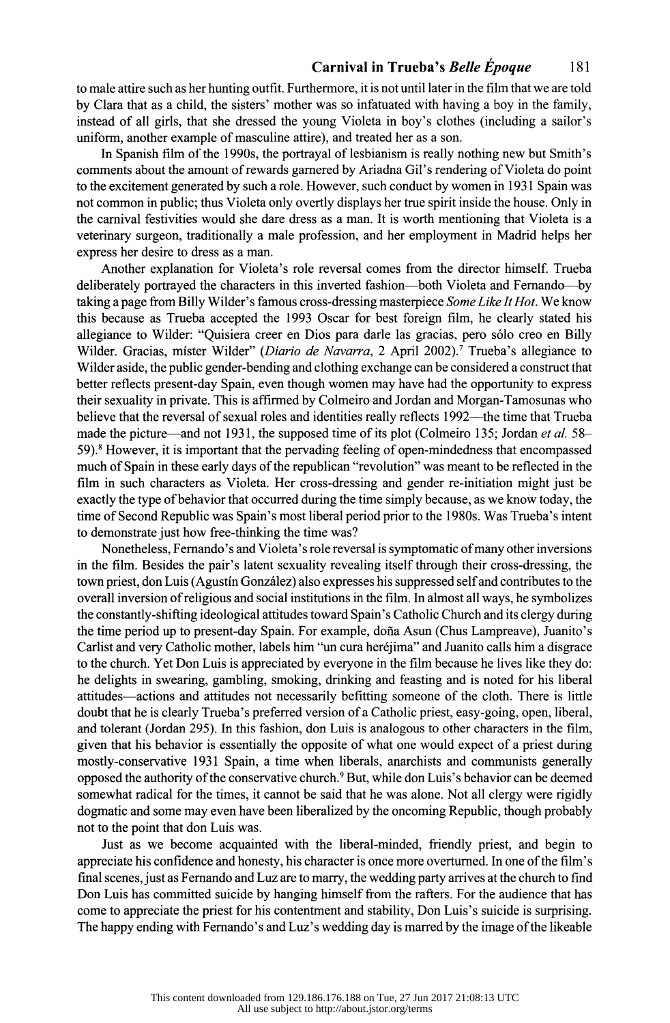to male attire such as her hunting outfit. Furthermore, it is not until later in the film that we are told by Clara that as a child, the sisters' mother was so infatuated with having a boy in the family, instead of all girls, that she dressed the young Violeta in boy's clothes (including a sailor's uniform, another example of masculine attire), and treated her as a son.

In Spanish film of the 1990s, the portrayal of lesbianism is really nothing new but Smith's comments about the amount ofrewards garnered by Ariadna Gil's rendering of Violeta do point to the excitement generated by such a role. However, such conduct by women in 1931 Spain was not common in public; thus Violeta only overtly displays her true spirit inside the house. Only in the carnival festivities would she dare dress as a man. It is worth mentioning that Violeta is a veterinary surgeon, traditionally a male profession, and her employment in Madrid helps her express her desire to dress as a man.

Another explanation for Violeta's role reversal comes from the director himself. Trueba deliberately portrayed the characters in this inverted fashion—both Violeta and Fernando—by taking a page from Billy Wilder's famous cross-dressing masterpiece *Some Like It Hot.* We know this because as Trueba accepted the 1993 Oscar for best foreign film, he clearly stated his allegiance to Wilder: "Quisiera creer en Dios para darle las gracias, pero sólo creo en Billy Wilder. Gracias, mister Wilder" *(Diario de Navarra*, 2 April 2002).<sup>7</sup> Trueba's allegiance to Wilder aside, the public gender-bending and clothing exchange can be considered a construct that better reflects present-day Spain, even though women may have had the opportunity to express their sexuality in private. This is affirmed by Colmeiro and Jordan and Morgan-Tamosunas who believe that the reversal of sexual roles and identities really reflects 1992—the time that Trueba made the picture-and not 1931, the supposed time of its plot (Colmeiro 135; Jordan *et al.* 58- 59). 8 However, it is important that the pervading feeling of open-mindedness that encompassed much of Spain in these early days of the republican "revolution" was meant to be reflected in the film in such characters as Violeta. Her cross-dressing and gender re-initiation might just be exactly the type of behavior that occurred during the time simply because, as we know today, the time of Second Republic was Spain's most liberal period prior to the 1980s. Was Trueba's intent to demonstrate just how free-thinking the time was?

Nonetheless, Fernando's and Violeta's role reversal is symptomatic of many other inversions in the film. Besides the pair's latent sexuality revealing itself through their cross-dressing, the town priest, don Luis (Agustin Gonzalez) also expresses his suppressed selfand contributes to the overall inversion of religious and social institutions in the film. In almost all ways, he symbolizes the constantly-shifting ideological attitudes toward Spain's Catholic Church and its clergy during the time period up to present-day Spain. For example, dofia Asun (Chus Lampreave), Juanito's Carlist and very Catholic mother, labels him "un cura herejima" and Juanito calls him a disgrace to the church. Yet Don Luis is appreciated by everyone in the film because he lives like they do: he delights in swearing, gambling, smoking, drinking and feasting and is noted for his liberal attitudes-actions and attitudes not necessarily befitting someone of the cloth. There is little doubt that he is clearly Trueba's preferred version of a Catholic priest, easy-going, open, liberal, and tolerant (Jordan 295). In this fashion, don Luis is analogous to other characters in the film, given that his behavior is essentially the opposite of what one would expect of a priest during mostly-conservative 1931 Spain, a time when liberals, anarchists and communists generally opposed the authority of the conservative church. 9 But, while don Luis's behavior can be deemed somewhat radical for the times, it cannot be said that he was alone. Not all clergy were rigidly dogmatic and some may even have been liberalized by the oncoming Republic, though probably not to the point that don Luis was.

Just as we become acquainted with the liberal-minded, friendly priest, and begin to appreciate his confidence and honesty, his character is once more overturned. In one of the film's final scenes, just as Fernando and Luz are to marry, the wedding party arrives at the church to find Don Luis has committed suicide by hanging himself from the rafters. For the audience that has come to appreciate the priest for his contentment and stability, Don Luis's suicide is surprising. The happy ending with Fernando's and Luz's wedding day is marred by the image of the likeable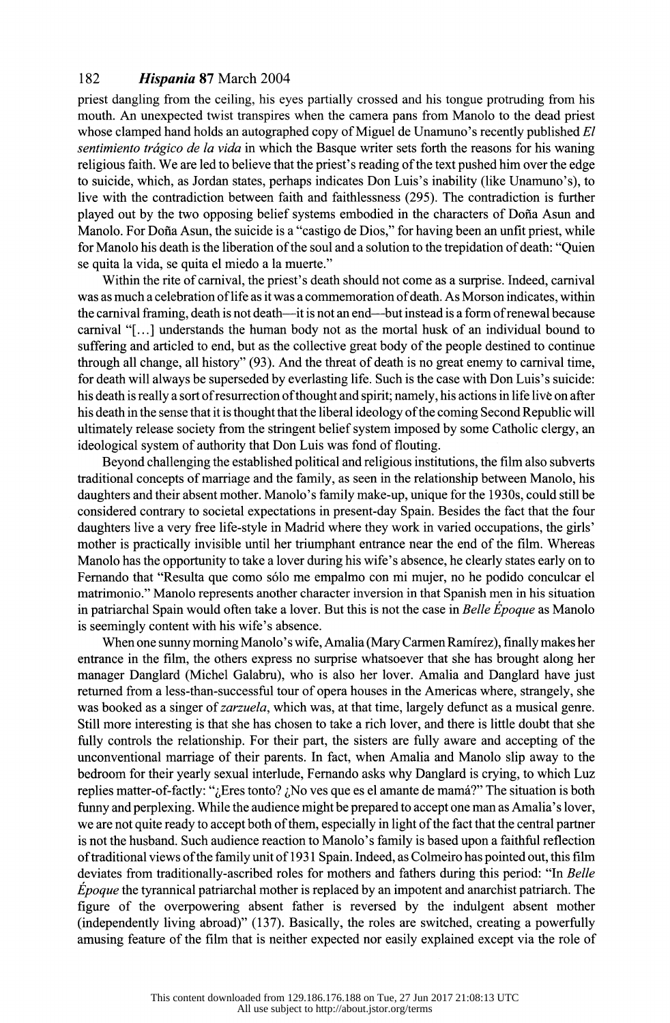priest dangling from the ceiling, his eyes partially crossed and his tongue protruding from his mouth. An unexpected twist transpires when the camera pans from Manolo to the dead priest whose clamped hand holds an autographed copy of Miguel de Unamuno's recently published *El sentimiento tragico de la vida* in which the Basque writer sets forth the reasons for his waning religious faith. We are led to believe that the priest's reading of the text pushed him over the edge to suicide, which, as Jordan states, perhaps indicates Don Luis's inability (like Unamuno's), to live with the contradiction between faith and faithlessness (295). The contradiction is further played out by the two opposing belief systems embodied in the characters of Dona Asun and Manolo. For Doña Asun, the suicide is a "castigo de Dios," for having been an unfit priest, while for Manolo his death is the liberation of the soul and a solution to the trepidation of death: "Quien" se quita la vida, se quita el miedo a la muerte."

Within the rite of carnival, the priest's death should not come as a surprise. Indeed, carnival was as much a celebration oflife as it was a commemoration of death. As Morson indicates, within the carnival framing, death is not death—it is not an end—but instead is a form of renewal because carnival "[ ... ] understands the human body not as the mortal husk of an individual bound to suffering and articled to end, but as the collective great body of the people destined to continue through all change, all history" (93). And the threat of death is no great enemy to carnival time, for death will always be superseded by everlasting life. Such is the case with Don Luis's suicide: his death is really a sort ofresurrection of thought and spirit; namely, his actions in life live on after his death in the sense that it is thought that the liberal ideology of the coming Second Republic will ultimately release society from the stringent belief system imposed by some Catholic clergy, an ideological system of authority that Don Luis was fond of flouting.

Beyond challenging the established political and religious institutions, the film also subverts traditional concepts of marriage and the family, as seen in the relationship between Manolo, his daughters and their absent mother. Manolo's family make-up, unique for the 1930s, could still be considered contrary to societal expectations in present-day Spain. Besides the fact that the four daughters live a very free life-style in Madrid where they work in varied occupations, the girls' mother is practically invisible until her triumphant entrance near the end of the film. Whereas Manolo has the opportunity to take a lover during his wife's absence, he clearly states early on to Fernando that "Resulta que como solo me empalmo con mi mujer, no he podido conculcar el matrimonio." Manolo represents another character inversion in that Spanish men in his situation in patriarchal Spain would often take a lover. But this is not the case in *Belle Epoque* as Manolo is seemingly content with his wife's absence.

When one sunny morning Manolo's wife, Amalia (Mary Carmen Ramirez), finally makes her entrance in the film, the others express no surprise whatsoever that she has brought along her manager Danglard (Michel Galabru), who is also her lover. Amalia and Danglard have just returned from a less-than-successful tour of opera houses in the Americas where, strangely, she was booked as a singer of *zarzuela,* which was, at that time, largely defunct as a musical genre. Still more interesting is that she has chosen to take a rich lover, and there is little doubt that she fully controls the relationship. For their part, the sisters are fully aware and accepting of the unconventional marriage of their parents. In fact, when Amalia and Manolo slip away to the bedroom for their yearly sexual interlude, Fernando asks why Danglard is crying, to which Luz replies matter-of-factly: " $_{i}$ Eres tonto?  $_{i}$ No ves que es el amante de mamá?" The situation is both funny and perplexing. While the audience might be prepared to accept one man as Amalia's lover, we are not quite ready to accept both of them, especially in light of the fact that the central partner is not the husband. Such audience reaction to Manolo's family is based upon a faithful reflection of traditional views of the family unit of 1931 Spain. Indeed, as Colmeiro has pointed out, this film deviates from traditionally-ascribed roles for mothers and fathers during this period: "In *Belle Epoque* the tyrannical patriarchal mother is replaced by an impotent and anarchist patriarch. The figure of the overpowering absent father is reversed by the indulgent absent mother (independently living abroad)" (137). Basically, the roles are switched, creating a powerfully amusing feature of the film that is neither expected nor easily explained except via the role of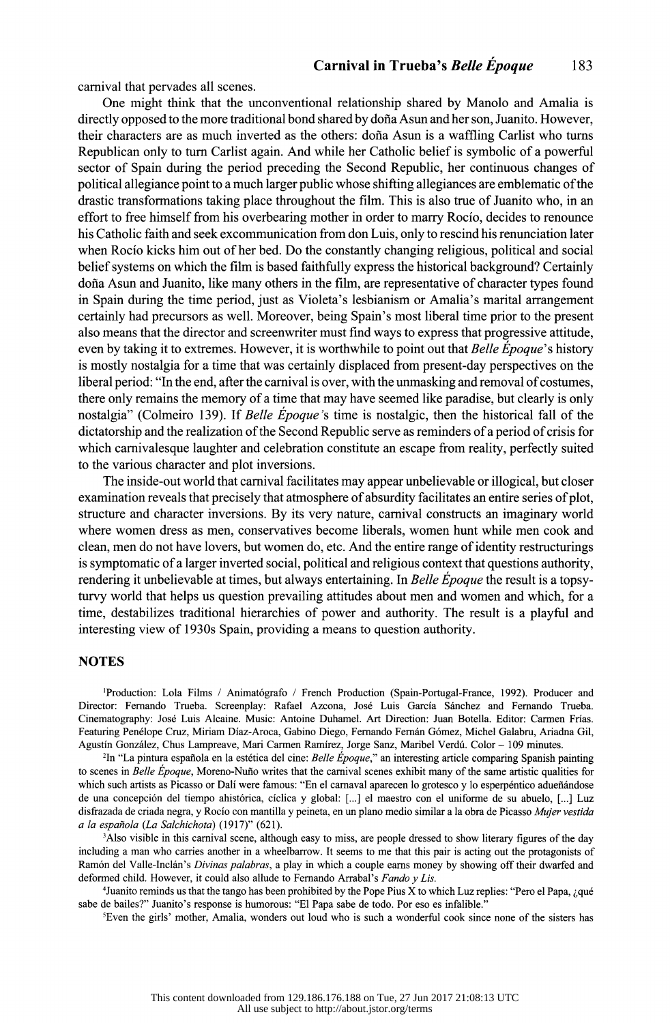carnival that pervades all scenes.

One might think that the unconventional relationship shared by Manolo and Amalia is directly opposed to the more traditional bond shared by dofia Asun and her son, Juanito. However, their characters are as much inverted as the others: dofia Asun is a waffling Carlist who turns Republican only to tum Carlist again. And while her Catholic belief is symbolic of a powerful sector of Spain during the period preceding the Second Republic, her continuous changes of political allegiance point to a much larger public whose shifting allegiances are emblematic of the drastic transformations taking place throughout the film. This is also true of Juanito who, in an effort to free himself from his overbearing mother in order to marry Rocio, decides to renounce his Catholic faith and seek excommunication from don Luis, only to rescind his renunciation later when Rocio kicks him out of her bed. Do the constantly changing religious, political and social belief systems on which the film is based faithfully express the historical background? Certainly dofia Asun and Juanito, like many others in the film, are representative of character types found in Spain during the time period, just as Violeta's lesbianism or Amalia's marital arrangement certainly had precursors as well. Moreover, being Spain's most liberal time prior to the present also means that the director and screenwriter must find ways to express that progressive attitude, even by taking it to extremes. However, it is worthwhile to point out that *Belle Epoque's* history is mostly nostalgia for a time that was certainly displaced from present-day perspectives on the liberal period: "In the end, after the carnival is over, with the unmasking and removal of costumes, there only remains the memory of a time that may have seemed like paradise, but clearly is only nostalgia" (Colmeiro 139). If *Belle Epoque* 's time is nostalgic, then the historical fall of the dictatorship and the realization of the Second Republic serve as reminders of a period of crisis for which camivalesque laughter and celebration constitute an escape from reality, perfectly suited to the various character and plot inversions.

The inside-out world that carnival facilitates may appear unbelievable or illogical, but closer examination reveals that precisely that atmosphere of absurdity facilitates an entire series of plot, structure and character inversions. By its very nature, carnival constructs an imaginary world where women dress as men, conservatives become liberals, women hunt while men cook and clean, men do not have lovers, but women do, etc. And the entire range of identity restructurings is symptomatic of a larger inverted social, political and religious context that questions authority, rendering it unbelievable at times, but always entertaining. In *Belle Epoque* the result is a topsyturvy world that helps us question prevailing attitudes about men and women and which, for a time, destabilizes traditional hierarchies of power and authority. The result is a playful and interesting view of 1930s Spain, providing a means to question authority.

#### **NOTES**

<sup>1</sup>Production: Lola Films / Animatógrafo / French Production (Spain-Portugal-France, 1992). Producer and Director: Fernando Trueba. Screenplay: Rafael Azcona, Jose Luis Garcia Sanchez and Fernando Trueba. Cinematography: Jose Luis Alcaine. Music: Antoine Duhamel. Art Direction: Juan Botella. Editor: Carmen Frias. Featuring Penelope Cruz, Miriam Diaz-Aroca, Gabino Diego, Fernando Fernan Gomez, Michel Galabru, Ariadna Gil, Agustín González, Chus Lampreave, Mari Carmen Ramírez, Jorge Sanz, Maribel Verdú. Color - 109 minutes.

2In "La pintura espafiola en la estetica de! cine: *Belle Epoque,"* an interesting article comparing Spanish painting to scenes in *Belle Epoque,* Moreno-Nuno writes that the carnival scenes exhibit many of the same artistic qualities for which such artists as Picasso or Dalí were famous: "En el carnaval aparecen lo grotesco y lo esperpéntico adueñándose de una concepción del tiempo ahistórica, cíclica y global: [...] el maestro con el uniforme de su abuelo, [...] Luz disfrazada de criada negra, y Rocio con mantilla y peineta, en un piano medio similar a la obra de Picasso *Mujer vestida a la espanola (La Salchichota)* (1917)" (621).

<sup>3</sup>Also visible in this carnival scene, although easy to miss, are people dressed to show literary figures of the day including a man who carries another in a wheelbarrow. It seems to me that this pair is acting out the protagonists of Ramón del Valle-Inclán's *Divinas palabras*, a play in which a couple earns money by showing off their dwarfed and deformed child. However, it could also allude to Fernando Arrabal's *Fando y Lis.* 

<sup>4</sup>Juanito reminds us that the tango has been prohibited by the Pope Pius X to which Luz replies: "Pero el Papa, ¿qué sabe de bailes?" Juanito's response is humorous: "El Papa sabe de todo. Por eso es infalible."

'Even the girls' mother, Amalia, wonders out loud who is such a wonderful cook since none of the sisters has